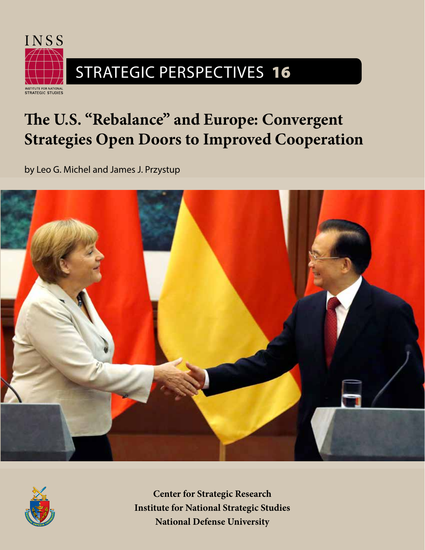

# **The U.S. "Rebalance" and Europe: Convergent Strategies Open Doors to Improved Cooperation**

by Leo G. Michel and James J. Przystup





**Center for Strategic Research Institute for National Strategic Studies National Defense University**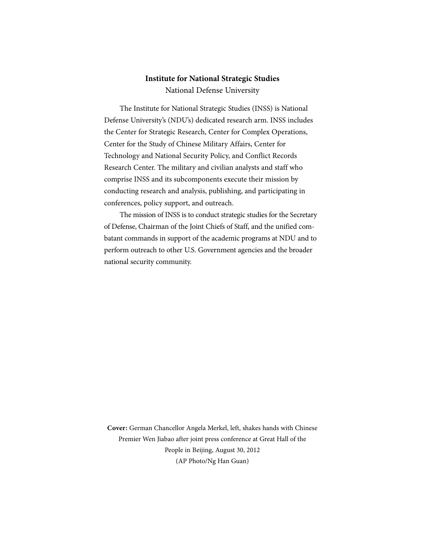# **Institute for National Strategic Studies**

National Defense University

The Institute for National Strategic Studies (INSS) is National Defense University's (NDU's) dedicated research arm. INSS includes the Center for Strategic Research, Center for Complex Operations, Center for the Study of Chinese Military Affairs, Center for Technology and National Security Policy, and Conflict Records Research Center. The military and civilian analysts and staff who comprise INSS and its subcomponents execute their mission by conducting research and analysis, publishing, and participating in conferences, policy support, and outreach.

The mission of INSS is to conduct strategic studies for the Secretary of Defense, Chairman of the Joint Chiefs of Staff, and the unified combatant commands in support of the academic programs at NDU and to perform outreach to other U.S. Government agencies and the broader national security community.

**Cover:** German Chancellor Angela Merkel, left, shakes hands with Chinese Premier Wen Jiabao after joint press conference at Great Hall of the People in Beijing, August 30, 2012 (AP Photo/Ng Han Guan)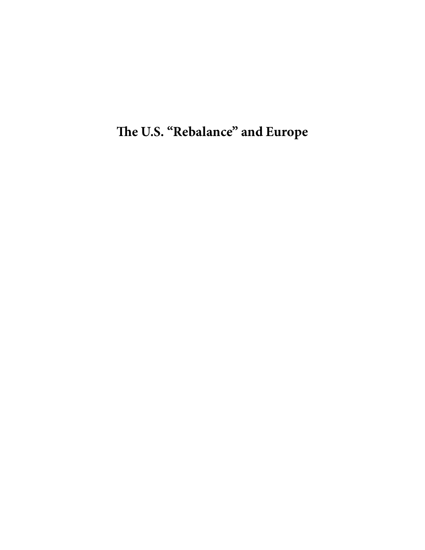**The U.S. "Rebalance" and Europe**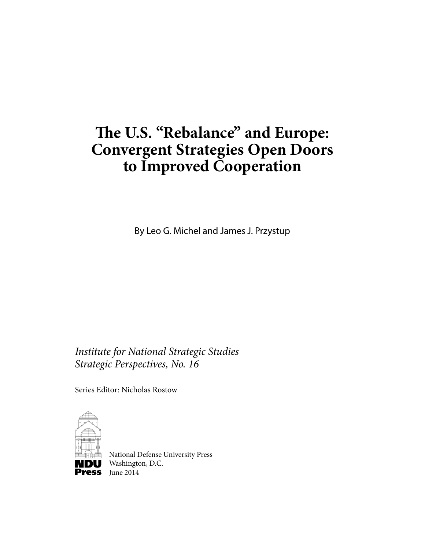# **The U.S. "Rebalance" and Europe: Convergent Strategies Open Doors to Improved Cooperation**

By Leo G. Michel and James J. Przystup

*Institute for National Strategic Studies Strategic Perspectives, No. 16*

Series Editor: Nicholas Rostow



National Defense University Press **DU** Washington, D.C. **Press** June  $2014$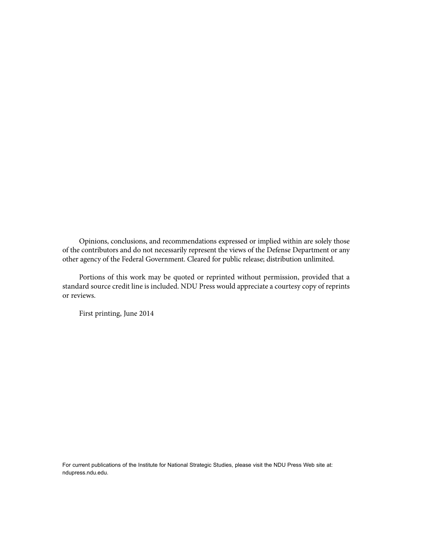Opinions, conclusions, and recommendations expressed or implied within are solely those of the contributors and do not necessarily represent the views of the Defense Department or any other agency of the Federal Government. Cleared for public release; distribution unlimited.

Portions of this work may be quoted or reprinted without permission, provided that a standard source credit line is included. NDU Press would appreciate a courtesy copy of reprints or reviews.

First printing, June 2014

For current publications of the Institute for National Strategic Studies, please visit the NDU Press Web site at: ndupress.ndu.edu.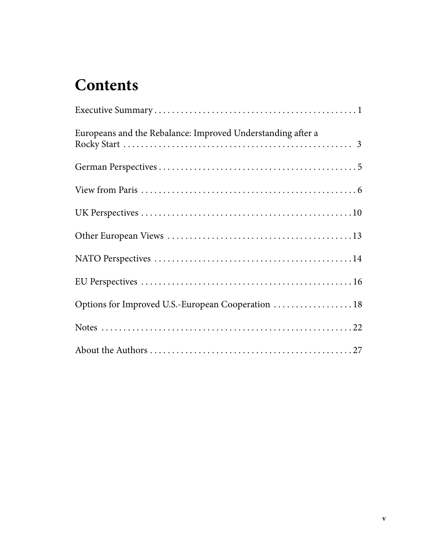# **Contents**

| Europeans and the Rebalance: Improved Understanding after a |
|-------------------------------------------------------------|
|                                                             |
|                                                             |
|                                                             |
|                                                             |
|                                                             |
|                                                             |
| Options for Improved U.S.-European Cooperation  18          |
|                                                             |
|                                                             |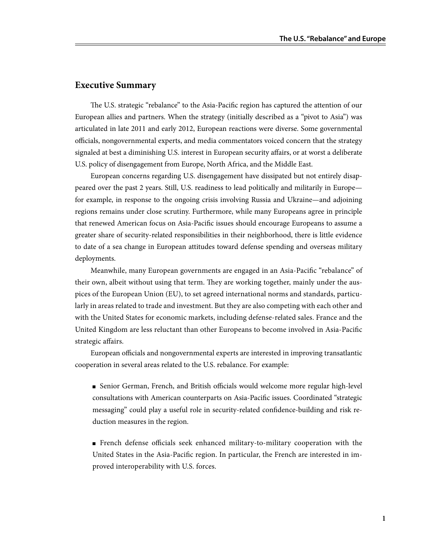## **Executive Summary**

The U.S. strategic "rebalance" to the Asia-Pacific region has captured the attention of our European allies and partners. When the strategy (initially described as a "pivot to Asia") was articulated in late 2011 and early 2012, European reactions were diverse. Some governmental officials, nongovernmental experts, and media commentators voiced concern that the strategy signaled at best a diminishing U.S. interest in European security affairs, or at worst a deliberate U.S. policy of disengagement from Europe, North Africa, and the Middle East.

European concerns regarding U.S. disengagement have dissipated but not entirely disappeared over the past 2 years. Still, U.S. readiness to lead politically and militarily in Europe for example, in response to the ongoing crisis involving Russia and Ukraine—and adjoining regions remains under close scrutiny. Furthermore, while many Europeans agree in principle that renewed American focus on Asia-Pacific issues should encourage Europeans to assume a greater share of security-related responsibilities in their neighborhood, there is little evidence to date of a sea change in European attitudes toward defense spending and overseas military deployments.

Meanwhile, many European governments are engaged in an Asia-Pacific "rebalance" of their own, albeit without using that term. They are working together, mainly under the auspices of the European Union (EU), to set agreed international norms and standards, particularly in areas related to trade and investment. But they are also competing with each other and with the United States for economic markets, including defense-related sales. France and the United Kingdom are less reluctant than other Europeans to become involved in Asia-Pacific strategic affairs.

European officials and nongovernmental experts are interested in improving transatlantic cooperation in several areas related to the U.S. rebalance. For example:

- Senior German, French, and British officials would welcome more regular high-level consultations with American counterparts on Asia-Pacific issues. Coordinated "strategic messaging" could play a useful role in security-related confidence-building and risk reduction measures in the region.
- French defense officials seek enhanced military-to-military cooperation with the United States in the Asia-Pacific region. In particular, the French are interested in improved interoperability with U.S. forces.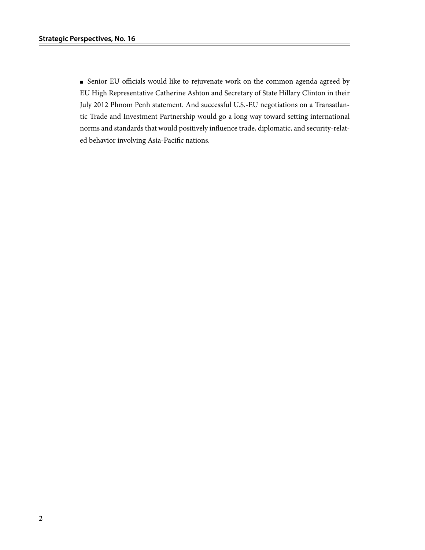■ Senior EU officials would like to rejuvenate work on the common agenda agreed by EU High Representative Catherine Ashton and Secretary of State Hillary Clinton in their July 2012 Phnom Penh statement. And successful U.S.-EU negotiations on a Transatlantic Trade and Investment Partnership would go a long way toward setting international norms and standards that would positively influence trade, diplomatic, and security-related behavior involving Asia-Pacific nations.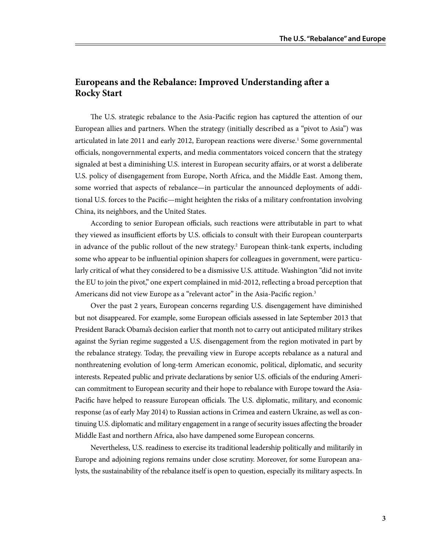# **Europeans and the Rebalance: Improved Understanding after a Rocky Start**

The U.S. strategic rebalance to the Asia-Pacific region has captured the attention of our European allies and partners. When the strategy (initially described as a "pivot to Asia") was articulated in late 2011 and early 2012, European reactions were diverse.<sup>1</sup> Some governmental officials, nongovernmental experts, and media commentators voiced concern that the strategy signaled at best a diminishing U.S. interest in European security affairs, or at worst a deliberate U.S. policy of disengagement from Europe, North Africa, and the Middle East. Among them, some worried that aspects of rebalance—in particular the announced deployments of additional U.S. forces to the Pacific—might heighten the risks of a military confrontation involving China, its neighbors, and the United States.

According to senior European officials, such reactions were attributable in part to what they viewed as insufficient efforts by U.S. officials to consult with their European counterparts in advance of the public rollout of the new strategy.<sup>2</sup> European think-tank experts, including some who appear to be influential opinion shapers for colleagues in government, were particularly critical of what they considered to be a dismissive U.S. attitude. Washington "did not invite the EU to join the pivot," one expert complained in mid-2012, reflecting a broad perception that Americans did not view Europe as a "relevant actor" in the Asia-Pacific region.<sup>3</sup>

Over the past 2 years, European concerns regarding U.S. disengagement have diminished but not disappeared. For example, some European officials assessed in late September 2013 that President Barack Obama's decision earlier that month not to carry out anticipated military strikes against the Syrian regime suggested a U.S. disengagement from the region motivated in part by the rebalance strategy. Today, the prevailing view in Europe accepts rebalance as a natural and nonthreatening evolution of long-term American economic, political, diplomatic, and security interests. Repeated public and private declarations by senior U.S. officials of the enduring American commitment to European security and their hope to rebalance with Europe toward the Asia-Pacific have helped to reassure European officials. The U.S. diplomatic, military, and economic response (as of early May 2014) to Russian actions in Crimea and eastern Ukraine, as well as continuing U.S. diplomatic and military engagement in a range of security issues affecting the broader Middle East and northern Africa, also have dampened some European concerns.

Nevertheless, U.S. readiness to exercise its traditional leadership politically and militarily in Europe and adjoining regions remains under close scrutiny. Moreover, for some European analysts, the sustainability of the rebalance itself is open to question, especially its military aspects. In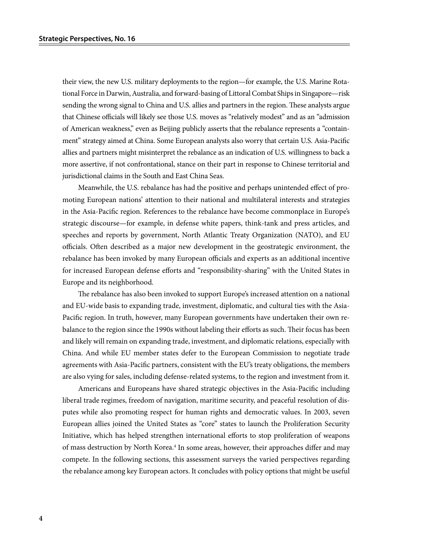their view, the new U.S. military deployments to the region—for example, the U.S. Marine Rotational Force in Darwin, Australia, and forward-basing of Littoral Combat Ships in Singapore—risk sending the wrong signal to China and U.S. allies and partners in the region. These analysts argue that Chinese officials will likely see those U.S. moves as "relatively modest" and as an "admission of American weakness," even as Beijing publicly asserts that the rebalance represents a "containment" strategy aimed at China. Some European analysts also worry that certain U.S. Asia-Pacific allies and partners might misinterpret the rebalance as an indication of U.S. willingness to back a more assertive, if not confrontational, stance on their part in response to Chinese territorial and jurisdictional claims in the South and East China Seas.

Meanwhile, the U.S. rebalance has had the positive and perhaps unintended effect of promoting European nations' attention to their national and multilateral interests and strategies in the Asia-Pacific region. References to the rebalance have become commonplace in Europe's strategic discourse—for example, in defense white papers, think-tank and press articles, and speeches and reports by government, North Atlantic Treaty Organization (NATO), and EU officials. Often described as a major new development in the geostrategic environment, the rebalance has been invoked by many European officials and experts as an additional incentive for increased European defense efforts and "responsibility-sharing" with the United States in Europe and its neighborhood.

The rebalance has also been invoked to support Europe's increased attention on a national and EU-wide basis to expanding trade, investment, diplomatic, and cultural ties with the Asia-Pacific region. In truth, however, many European governments have undertaken their own rebalance to the region since the 1990s without labeling their efforts as such. Their focus has been and likely will remain on expanding trade, investment, and diplomatic relations, especially with China. And while EU member states defer to the European Commission to negotiate trade agreements with Asia-Pacific partners, consistent with the EU's treaty obligations, the members are also vying for sales, including defense-related systems, to the region and investment from it.

Americans and Europeans have shared strategic objectives in the Asia-Pacific including liberal trade regimes, freedom of navigation, maritime security, and peaceful resolution of disputes while also promoting respect for human rights and democratic values. In 2003, seven European allies joined the United States as "core" states to launch the Proliferation Security Initiative, which has helped strengthen international efforts to stop proliferation of weapons of mass destruction by North Korea.<sup>4</sup> In some areas, however, their approaches differ and may compete. In the following sections, this assessment surveys the varied perspectives regarding the rebalance among key European actors. It concludes with policy options that might be useful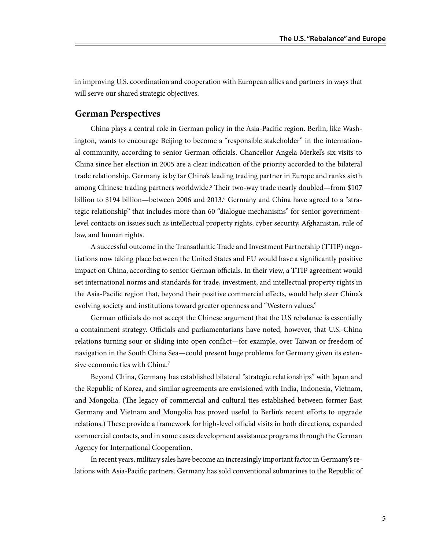in improving U.S. coordination and cooperation with European allies and partners in ways that will serve our shared strategic objectives.

### **German Perspectives**

China plays a central role in German policy in the Asia-Pacific region. Berlin, like Washington, wants to encourage Beijing to become a "responsible stakeholder" in the international community, according to senior German officials. Chancellor Angela Merkel's six visits to China since her election in 2005 are a clear indication of the priority accorded to the bilateral trade relationship. Germany is by far China's leading trading partner in Europe and ranks sixth among Chinese trading partners worldwide.<sup>5</sup> Their two-way trade nearly doubled—from \$107 billion to \$194 billion—between 2006 and 2013.<sup>6</sup> Germany and China have agreed to a "strategic relationship" that includes more than 60 "dialogue mechanisms" for senior governmentlevel contacts on issues such as intellectual property rights, cyber security, Afghanistan, rule of law, and human rights.

A successful outcome in the Transatlantic Trade and Investment Partnership (TTIP) negotiations now taking place between the United States and EU would have a significantly positive impact on China, according to senior German officials. In their view, a TTIP agreement would set international norms and standards for trade, investment, and intellectual property rights in the Asia-Pacific region that, beyond their positive commercial effects, would help steer China's evolving society and institutions toward greater openness and "Western values."

German officials do not accept the Chinese argument that the U.S rebalance is essentially a containment strategy. Officials and parliamentarians have noted, however, that U.S.-China relations turning sour or sliding into open conflict—for example, over Taiwan or freedom of navigation in the South China Sea—could present huge problems for Germany given its extensive economic ties with China.<sup>7</sup>

Beyond China, Germany has established bilateral "strategic relationships" with Japan and the Republic of Korea, and similar agreements are envisioned with India, Indonesia, Vietnam, and Mongolia. (The legacy of commercial and cultural ties established between former East Germany and Vietnam and Mongolia has proved useful to Berlin's recent efforts to upgrade relations.) These provide a framework for high-level official visits in both directions, expanded commercial contacts, and in some cases development assistance programs through the German Agency for International Cooperation.

In recent years, military sales have become an increasingly important factor in Germany's relations with Asia-Pacific partners. Germany has sold conventional submarines to the Republic of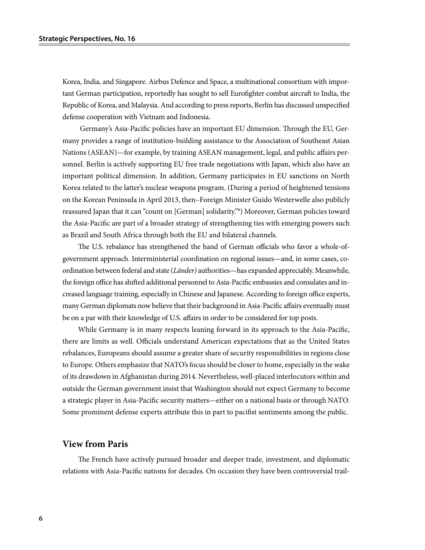Korea, India, and Singapore. Airbus Defence and Space, a multinational consortium with important German participation, reportedly has sought to sell Eurofighter combat aircraft to India, the Republic of Korea, and Malaysia. And according to press reports, Berlin has discussed unspecified defense cooperation with Vietnam and Indonesia.

 Germany's Asia-Pacific policies have an important EU dimension. Through the EU, Germany provides a range of institution-building assistance to the Association of Southeast Asian Nations (ASEAN)—for example, by training ASEAN management, legal, and public affairs personnel. Berlin is actively supporting EU free trade negotiations with Japan, which also have an important political dimension. In addition, Germany participates in EU sanctions on North Korea related to the latter's nuclear weapons program. (During a period of heightened tensions on the Korean Peninsula in April 2013, then–Foreign Minister Guido Westerwelle also publicly reassured Japan that it can "count on [German] solidarity."8 ) Moreover, German policies toward the Asia-Pacific are part of a broader strategy of strengthening ties with emerging powers such as Brazil and South Africa through both the EU and bilateral channels.

The U.S. rebalance has strengthened the hand of German officials who favor a whole-ofgovernment approach. Interministerial coordination on regional issues—and, in some cases, coordination between federal and state (*Länder)* authorities—has expanded appreciably. Meanwhile, the foreign office has shifted additional personnel to Asia-Pacific embassies and consulates and increased language training, especially in Chinese and Japanese. According to foreign office experts, many German diplomats now believe that their background in Asia-Pacific affairs eventually must be on a par with their knowledge of U.S. affairs in order to be considered for top posts.

While Germany is in many respects leaning forward in its approach to the Asia-Pacific, there are limits as well. Officials understand American expectations that as the United States rebalances, Europeans should assume a greater share of security responsibilities in regions close to Europe. Others emphasize that NATO's focus should be closer to home, especially in the wake of its drawdown in Afghanistan during 2014. Nevertheless, well-placed interlocutors within and outside the German government insist that Washington should not expect Germany to become a strategic player in Asia-Pacific security matters—either on a national basis or through NATO. Some prominent defense experts attribute this in part to pacifist sentiments among the public.

### **View from Paris**

The French have actively pursued broader and deeper trade, investment, and diplomatic relations with Asia-Pacific nations for decades. On occasion they have been controversial trail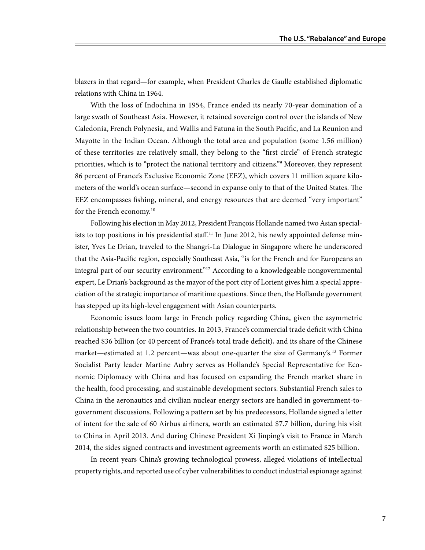blazers in that regard—for example, when President Charles de Gaulle established diplomatic relations with China in 1964.

With the loss of Indochina in 1954, France ended its nearly 70-year domination of a large swath of Southeast Asia. However, it retained sovereign control over the islands of New Caledonia, French Polynesia, and Wallis and Fatuna in the South Pacific, and La Reunion and Mayotte in the Indian Ocean. Although the total area and population (some 1.56 million) of these territories are relatively small, they belong to the "first circle" of French strategic priorities, which is to "protect the national territory and citizens."<sup>9</sup> Moreover, they represent 86 percent of France's Exclusive Economic Zone (EEZ), which covers 11 million square kilometers of the world's ocean surface—second in expanse only to that of the United States. The EEZ encompasses fishing, mineral, and energy resources that are deemed "very important" for the French economy.<sup>10</sup>

Following his election in May 2012, President François Hollande named two Asian specialists to top positions in his presidential staff.<sup>11</sup> In June 2012, his newly appointed defense minister, Yves Le Drian, traveled to the Shangri-La Dialogue in Singapore where he underscored that the Asia-Pacific region, especially Southeast Asia, "is for the French and for Europeans an integral part of our security environment."<sup>12</sup> According to a knowledgeable nongovernmental expert, Le Drian's background as the mayor of the port city of Lorient gives him a special appreciation of the strategic importance of maritime questions. Since then, the Hollande government has stepped up its high-level engagement with Asian counterparts.

Economic issues loom large in French policy regarding China, given the asymmetric relationship between the two countries. In 2013, France's commercial trade deficit with China reached \$36 billion (or 40 percent of France's total trade deficit), and its share of the Chinese market—estimated at 1.2 percent—was about one-quarter the size of Germany's.<sup>13</sup> Former Socialist Party leader Martine Aubry serves as Hollande's Special Representative for Economic Diplomacy with China and has focused on expanding the French market share in the health, food processing, and sustainable development sectors. Substantial French sales to China in the aeronautics and civilian nuclear energy sectors are handled in government-togovernment discussions. Following a pattern set by his predecessors, Hollande signed a letter of intent for the sale of 60 Airbus airliners, worth an estimated \$7.7 billion, during his visit to China in April 2013. And during Chinese President Xi Jinping's visit to France in March 2014, the sides signed contracts and investment agreements worth an estimated \$25 billion.

In recent years China's growing technological prowess, alleged violations of intellectual property rights, and reported use of cyber vulnerabilities to conduct industrial espionage against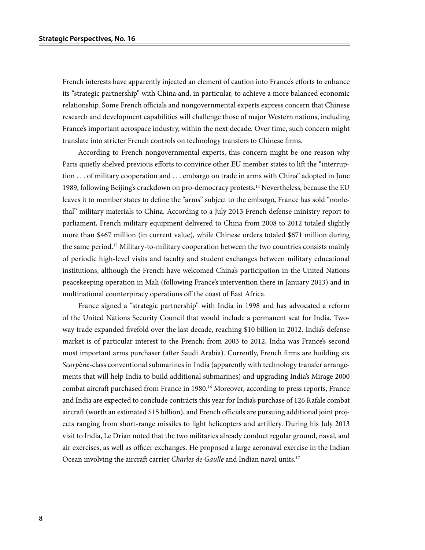French interests have apparently injected an element of caution into France's efforts to enhance its "strategic partnership" with China and, in particular, to achieve a more balanced economic relationship. Some French officials and nongovernmental experts express concern that Chinese research and development capabilities will challenge those of major Western nations, including France's important aerospace industry, within the next decade. Over time, such concern might translate into stricter French controls on technology transfers to Chinese firms.

According to French nongovernmental experts, this concern might be one reason why Paris quietly shelved previous efforts to convince other EU member states to lift the "interruption . . . of military cooperation and . . . embargo on trade in arms with China" adopted in June 1989, following Beijing's crackdown on pro-democracy protests.<sup>14</sup> Nevertheless, because the EU leaves it to member states to define the "arms" subject to the embargo, France has sold "nonlethal" military materials to China. According to a July 2013 French defense ministry report to parliament, French military equipment delivered to China from 2008 to 2012 totaled slightly more than \$467 million (in current value), while Chinese orders totaled \$671 million during the same period.15 Military-to-military cooperation between the two countries consists mainly of periodic high-level visits and faculty and student exchanges between military educational institutions, although the French have welcomed China's participation in the United Nations peacekeeping operation in Mali (following France's intervention there in January 2013) and in multinational counterpiracy operations off the coast of East Africa.

France signed a "strategic partnership" with India in 1998 and has advocated a reform of the United Nations Security Council that would include a permanent seat for India. Twoway trade expanded fivefold over the last decade, reaching \$10 billion in 2012. India's defense market is of particular interest to the French; from 2003 to 2012, India was France's second most important arms purchaser (after Saudi Arabia). Currently, French firms are building six *Scorp*è*ne*-class conventional submarines in India (apparently with technology transfer arrangements that will help India to build additional submarines) and upgrading India's Mirage 2000 combat aircraft purchased from France in 1980.16 Moreover, according to press reports, France and India are expected to conclude contracts this year for India's purchase of 126 Rafale combat aircraft (worth an estimated \$15 billion), and French officials are pursuing additional joint projects ranging from short-range missiles to light helicopters and artillery. During his July 2013 visit to India, Le Drian noted that the two militaries already conduct regular ground, naval, and air exercises, as well as officer exchanges. He proposed a large aeronaval exercise in the Indian Ocean involving the aircraft carrier *Charles de Gaulle* and Indian naval units.17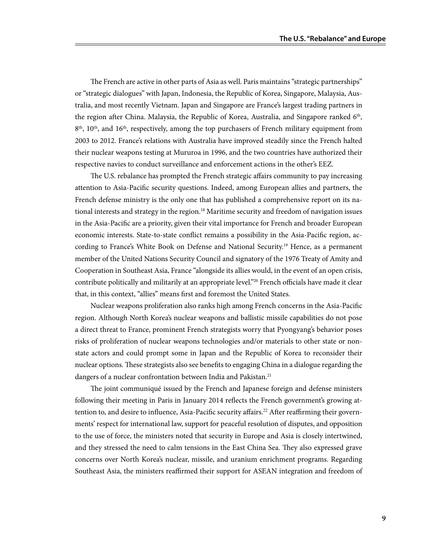The French are active in other parts of Asia as well. Paris maintains "strategic partnerships" or "strategic dialogues" with Japan, Indonesia, the Republic of Korea, Singapore, Malaysia, Australia, and most recently Vietnam. Japan and Singapore are France's largest trading partners in the region after China. Malaysia, the Republic of Korea, Australia, and Singapore ranked  $6<sup>th</sup>$ ,  $8<sup>th</sup>$ , 10<sup>th</sup>, and 16<sup>th</sup>, respectively, among the top purchasers of French military equipment from 2003 to 2012. France's relations with Australia have improved steadily since the French halted their nuclear weapons testing at Mururoa in 1996, and the two countries have authorized their respective navies to conduct surveillance and enforcement actions in the other's EEZ.

The U.S. rebalance has prompted the French strategic affairs community to pay increasing attention to Asia-Pacific security questions. Indeed, among European allies and partners, the French defense ministry is the only one that has published a comprehensive report on its national interests and strategy in the region.18 Maritime security and freedom of navigation issues in the Asia-Pacific are a priority, given their vital importance for French and broader European economic interests. State-to-state conflict remains a possibility in the Asia-Pacific region, according to France's White Book on Defense and National Security.19 Hence, as a permanent member of the United Nations Security Council and signatory of the 1976 Treaty of Amity and Cooperation in Southeast Asia, France "alongside its allies would, in the event of an open crisis, contribute politically and militarily at an appropriate level."<sup>20</sup> French officials have made it clear that, in this context, "allies" means first and foremost the United States.

Nuclear weapons proliferation also ranks high among French concerns in the Asia-Pacific region. Although North Korea's nuclear weapons and ballistic missile capabilities do not pose a direct threat to France, prominent French strategists worry that Pyongyang's behavior poses risks of proliferation of nuclear weapons technologies and/or materials to other state or nonstate actors and could prompt some in Japan and the Republic of Korea to reconsider their nuclear options. These strategists also see benefits to engaging China in a dialogue regarding the dangers of a nuclear confrontation between India and Pakistan.<sup>21</sup>

The joint communiqué issued by the French and Japanese foreign and defense ministers following their meeting in Paris in January 2014 reflects the French government's growing attention to, and desire to influence, Asia-Pacific security affairs.<sup>22</sup> After reaffirming their governments' respect for international law, support for peaceful resolution of disputes, and opposition to the use of force, the ministers noted that security in Europe and Asia is closely intertwined, and they stressed the need to calm tensions in the East China Sea. They also expressed grave concerns over North Korea's nuclear, missile, and uranium enrichment programs. Regarding Southeast Asia, the ministers reaffirmed their support for ASEAN integration and freedom of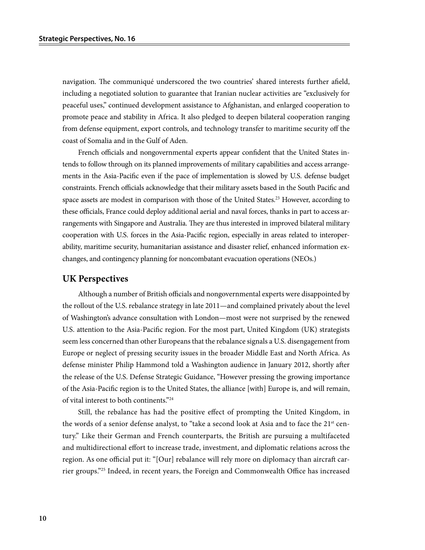navigation. The communiqué underscored the two countries' shared interests further afield, including a negotiated solution to guarantee that Iranian nuclear activities are "exclusively for peaceful uses," continued development assistance to Afghanistan, and enlarged cooperation to promote peace and stability in Africa. It also pledged to deepen bilateral cooperation ranging from defense equipment, export controls, and technology transfer to maritime security off the coast of Somalia and in the Gulf of Aden.

French officials and nongovernmental experts appear confident that the United States intends to follow through on its planned improvements of military capabilities and access arrangements in the Asia-Pacific even if the pace of implementation is slowed by U.S. defense budget constraints. French officials acknowledge that their military assets based in the South Pacific and space assets are modest in comparison with those of the United States.<sup>23</sup> However, according to these officials, France could deploy additional aerial and naval forces, thanks in part to access arrangements with Singapore and Australia. They are thus interested in improved bilateral military cooperation with U.S. forces in the Asia-Pacific region, especially in areas related to interoperability, maritime security, humanitarian assistance and disaster relief, enhanced information exchanges, and contingency planning for noncombatant evacuation operations (NEOs.)

#### **UK Perspectives**

Although a number of British officials and nongovernmental experts were disappointed by the rollout of the U.S. rebalance strategy in late 2011—and complained privately about the level of Washington's advance consultation with London—most were not surprised by the renewed U.S. attention to the Asia-Pacific region. For the most part, United Kingdom (UK) strategists seem less concerned than other Europeans that the rebalance signals a U.S. disengagement from Europe or neglect of pressing security issues in the broader Middle East and North Africa. As defense minister Philip Hammond told a Washington audience in January 2012, shortly after the release of the U.S. Defense Strategic Guidance, "However pressing the growing importance of the Asia-Pacific region is to the United States, the alliance [with] Europe is, and will remain, of vital interest to both continents."24

Still, the rebalance has had the positive effect of prompting the United Kingdom, in the words of a senior defense analyst, to "take a second look at Asia and to face the 21<sup>st</sup> century." Like their German and French counterparts, the British are pursuing a multifaceted and multidirectional effort to increase trade, investment, and diplomatic relations across the region. As one official put it: "[Our] rebalance will rely more on diplomacy than aircraft carrier groups."25 Indeed, in recent years, the Foreign and Commonwealth Office has increased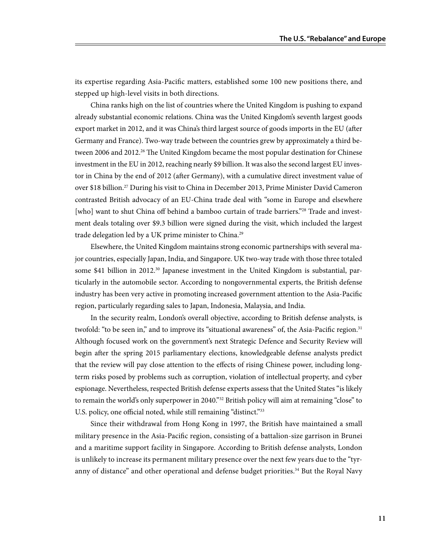its expertise regarding Asia-Pacific matters, established some 100 new positions there, and stepped up high-level visits in both directions.

China ranks high on the list of countries where the United Kingdom is pushing to expand already substantial economic relations. China was the United Kingdom's seventh largest goods export market in 2012, and it was China's third largest source of goods imports in the EU (after Germany and France). Two-way trade between the countries grew by approximately a third between 2006 and 2012.<sup>26</sup> The United Kingdom became the most popular destination for Chinese investment in the EU in 2012, reaching nearly \$9 billion. It was also the second largest EU investor in China by the end of 2012 (after Germany), with a cumulative direct investment value of over \$18 billion.27 During his visit to China in December 2013, Prime Minister David Cameron contrasted British advocacy of an EU-China trade deal with "some in Europe and elsewhere [who] want to shut China off behind a bamboo curtain of trade barriers."<sup>28</sup> Trade and investment deals totaling over \$9.3 billion were signed during the visit, which included the largest trade delegation led by a UK prime minister to China.<sup>29</sup>

Elsewhere, the United Kingdom maintains strong economic partnerships with several major countries, especially Japan, India, and Singapore. UK two-way trade with those three totaled some \$41 billion in 2012.<sup>30</sup> Japanese investment in the United Kingdom is substantial, particularly in the automobile sector. According to nongovernmental experts, the British defense industry has been very active in promoting increased government attention to the Asia-Pacific region, particularly regarding sales to Japan, Indonesia, Malaysia, and India.

In the security realm, London's overall objective, according to British defense analysts, is twofold: "to be seen in," and to improve its "situational awareness" of, the Asia-Pacific region.<sup>31</sup> Although focused work on the government's next Strategic Defence and Security Review will begin after the spring 2015 parliamentary elections, knowledgeable defense analysts predict that the review will pay close attention to the effects of rising Chinese power, including longterm risks posed by problems such as corruption, violation of intellectual property, and cyber espionage. Nevertheless, respected British defense experts assess that the United States "is likely to remain the world's only superpower in 2040."32 British policy will aim at remaining "close" to U.S. policy, one official noted, while still remaining "distinct."<sup>33</sup>

Since their withdrawal from Hong Kong in 1997, the British have maintained a small military presence in the Asia-Pacific region, consisting of a battalion-size garrison in Brunei and a maritime support facility in Singapore. According to British defense analysts, London is unlikely to increase its permanent military presence over the next few years due to the "tyranny of distance" and other operational and defense budget priorities.<sup>34</sup> But the Royal Navy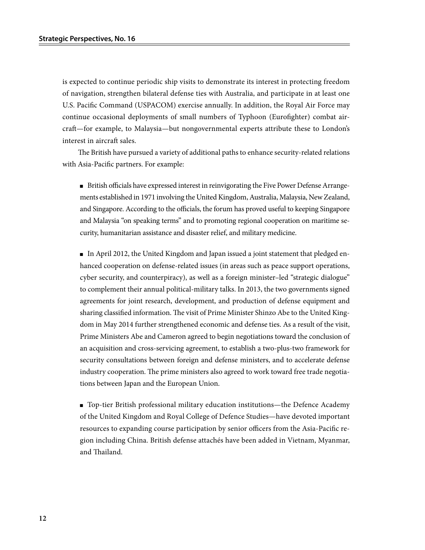is expected to continue periodic ship visits to demonstrate its interest in protecting freedom of navigation, strengthen bilateral defense ties with Australia, and participate in at least one U.S. Pacific Command (USPACOM) exercise annually. In addition, the Royal Air Force may continue occasional deployments of small numbers of Typhoon (Eurofighter) combat aircraft—for example, to Malaysia—but nongovernmental experts attribute these to London's interest in aircraft sales.

The British have pursued a variety of additional paths to enhance security-related relations with Asia-Pacific partners. For example:

■ British officials have expressed interest in reinvigorating the Five Power Defense Arrangements established in 1971 involving the United Kingdom, Australia, Malaysia, New Zealand, and Singapore. According to the officials, the forum has proved useful to keeping Singapore and Malaysia "on speaking terms" and to promoting regional cooperation on maritime security, humanitarian assistance and disaster relief, and military medicine.

■ In April 2012, the United Kingdom and Japan issued a joint statement that pledged enhanced cooperation on defense-related issues (in areas such as peace support operations, cyber security, and counterpiracy), as well as a foreign minister–led "strategic dialogue" to complement their annual political-military talks. In 2013, the two governments signed agreements for joint research, development, and production of defense equipment and sharing classified information. The visit of Prime Minister Shinzo Abe to the United Kingdom in May 2014 further strengthened economic and defense ties. As a result of the visit, Prime Ministers Abe and Cameron agreed to begin negotiations toward the conclusion of an acquisition and cross-servicing agreement, to establish a two-plus-two framework for security consultations between foreign and defense ministers, and to accelerate defense industry cooperation. The prime ministers also agreed to work toward free trade negotiations between Japan and the European Union.

■ Top-tier British professional military education institutions—the Defence Academy of the United Kingdom and Royal College of Defence Studies—have devoted important resources to expanding course participation by senior officers from the Asia-Pacific region including China. British defense attachés have been added in Vietnam, Myanmar, and Thailand.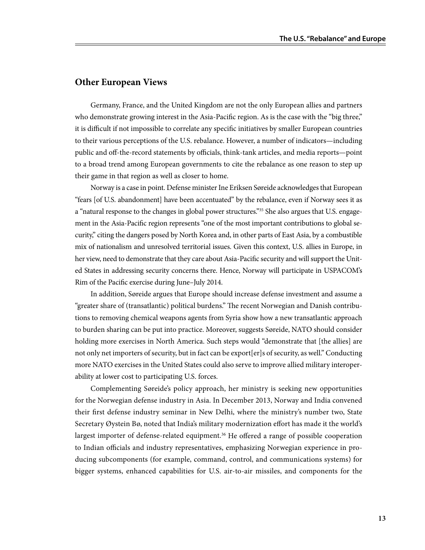### **Other European Views**

Germany, France, and the United Kingdom are not the only European allies and partners who demonstrate growing interest in the Asia-Pacific region. As is the case with the "big three," it is difficult if not impossible to correlate any specific initiatives by smaller European countries to their various perceptions of the U.S. rebalance. However, a number of indicators—including public and off-the-record statements by officials, think-tank articles, and media reports—point to a broad trend among European governments to cite the rebalance as one reason to step up their game in that region as well as closer to home.

Norway is a case in point. Defense minister Ine Eriksen Søreide acknowledges that European "fears [of U.S. abandonment] have been accentuated" by the rebalance, even if Norway sees it as a "natural response to the changes in global power structures."<sup>35</sup> She also argues that U.S. engagement in the Asia-Pacific region represents "one of the most important contributions to global security," citing the dangers posed by North Korea and, in other parts of East Asia, by a combustible mix of nationalism and unresolved territorial issues. Given this context, U.S. allies in Europe, in her view, need to demonstrate that they care about Asia-Pacific security and will support the United States in addressing security concerns there. Hence, Norway will participate in USPACOM's Rim of the Pacific exercise during June–July 2014.

In addition, Søreide argues that Europe should increase defense investment and assume a "greater share of (transatlantic) political burdens." The recent Norwegian and Danish contributions to removing chemical weapons agents from Syria show how a new transatlantic approach to burden sharing can be put into practice. Moreover, suggests Søreide, NATO should consider holding more exercises in North America. Such steps would "demonstrate that [the allies] are not only net importers of security, but in fact can be export[er]s of security, as well." Conducting more NATO exercises in the United States could also serve to improve allied military interoperability at lower cost to participating U.S. forces.

Complementing Søreide's policy approach, her ministry is seeking new opportunities for the Norwegian defense industry in Asia. In December 2013, Norway and India convened their first defense industry seminar in New Delhi, where the ministry's number two, State Secretary Øystein Bø, noted that India's military modernization effort has made it the world's largest importer of defense-related equipment.<sup>36</sup> He offered a range of possible cooperation to Indian officials and industry representatives, emphasizing Norwegian experience in producing subcomponents (for example, command, control, and communications systems) for bigger systems, enhanced capabilities for U.S. air-to-air missiles, and components for the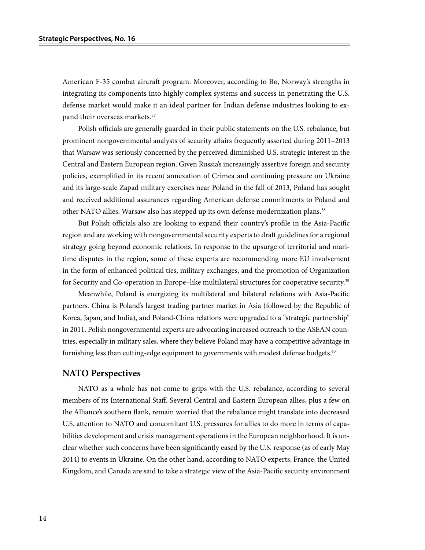American F-35 combat aircraft program. Moreover, according to Bø, Norway's strengths in integrating its components into highly complex systems and success in penetrating the U.S. defense market would make it an ideal partner for Indian defense industries looking to expand their overseas markets.<sup>37</sup>

Polish officials are generally guarded in their public statements on the U.S. rebalance, but prominent nongovernmental analysts of security affairs frequently asserted during 2011–2013 that Warsaw was seriously concerned by the perceived diminished U.S. strategic interest in the Central and Eastern European region. Given Russia's increasingly assertive foreign and security policies, exemplified in its recent annexation of Crimea and continuing pressure on Ukraine and its large-scale Zapad military exercises near Poland in the fall of 2013, Poland has sought and received additional assurances regarding American defense commitments to Poland and other NATO allies. Warsaw also has stepped up its own defense modernization plans.38

But Polish officials also are looking to expand their country's profile in the Asia-Pacific region and are working with nongovernmental security experts to draft guidelines for a regional strategy going beyond economic relations. In response to the upsurge of territorial and maritime disputes in the region, some of these experts are recommending more EU involvement in the form of enhanced political ties, military exchanges, and the promotion of Organization for Security and Co-operation in Europe-like multilateral structures for cooperative security.<sup>39</sup>

Meanwhile, Poland is energizing its multilateral and bilateral relations with Asia-Pacific partners. China is Poland's largest trading partner market in Asia (followed by the Republic of Korea, Japan, and India), and Poland-China relations were upgraded to a "strategic partnership" in 2011. Polish nongovernmental experts are advocating increased outreach to the ASEAN countries, especially in military sales, where they believe Poland may have a competitive advantage in furnishing less than cutting-edge equipment to governments with modest defense budgets.<sup>40</sup>

#### **NATO Perspectives**

NATO as a whole has not come to grips with the U.S. rebalance, according to several members of its International Staff. Several Central and Eastern European allies, plus a few on the Alliance's southern flank, remain worried that the rebalance might translate into decreased U.S. attention to NATO and concomitant U.S. pressures for allies to do more in terms of capabilities development and crisis management operations in the European neighborhood. It is unclear whether such concerns have been significantly eased by the U.S. response (as of early May 2014) to events in Ukraine. On the other hand, according to NATO experts, France, the United Kingdom, and Canada are said to take a strategic view of the Asia-Pacific security environment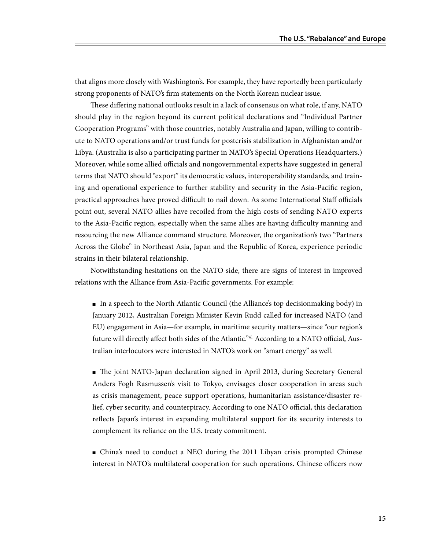that aligns more closely with Washington's. For example, they have reportedly been particularly strong proponents of NATO's firm statements on the North Korean nuclear issue.

These differing national outlooks result in a lack of consensus on what role, if any, NATO should play in the region beyond its current political declarations and "Individual Partner Cooperation Programs" with those countries, notably Australia and Japan, willing to contribute to NATO operations and/or trust funds for postcrisis stabilization in Afghanistan and/or Libya. (Australia is also a participating partner in NATO's Special Operations Headquarters.) Moreover, while some allied officials and nongovernmental experts have suggested in general terms that NATO should "export" its democratic values, interoperability standards, and training and operational experience to further stability and security in the Asia-Pacific region, practical approaches have proved difficult to nail down. As some International Staff officials point out, several NATO allies have recoiled from the high costs of sending NATO experts to the Asia-Pacific region, especially when the same allies are having difficulty manning and resourcing the new Alliance command structure. Moreover, the organization's two "Partners Across the Globe" in Northeast Asia, Japan and the Republic of Korea, experience periodic strains in their bilateral relationship.

Notwithstanding hesitations on the NATO side, there are signs of interest in improved relations with the Alliance from Asia-Pacific governments. For example:

■ In a speech to the North Atlantic Council (the Alliance's top decisionmaking body) in January 2012, Australian Foreign Minister Kevin Rudd called for increased NATO (and EU) engagement in Asia—for example, in maritime security matters—since "our region's future will directly affect both sides of the Atlantic."<sup>41</sup> According to a NATO official, Australian interlocutors were interested in NATO's work on "smart energy" as well.

■ The joint NATO-Japan declaration signed in April 2013, during Secretary General Anders Fogh Rasmussen's visit to Tokyo, envisages closer cooperation in areas such as crisis management, peace support operations, humanitarian assistance/disaster relief, cyber security, and counterpiracy. According to one NATO official, this declaration reflects Japan's interest in expanding multilateral support for its security interests to complement its reliance on the U.S. treaty commitment.

■ China's need to conduct a NEO during the 2011 Libyan crisis prompted Chinese interest in NATO's multilateral cooperation for such operations. Chinese officers now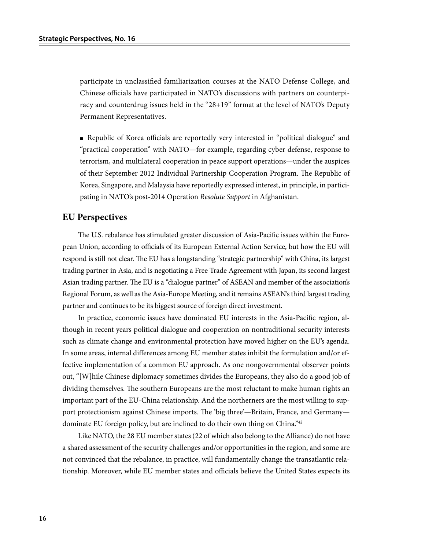participate in unclassified familiarization courses at the NATO Defense College, and Chinese officials have participated in NATO's discussions with partners on counterpiracy and counterdrug issues held in the "28+19" format at the level of NATO's Deputy Permanent Representatives.

■ Republic of Korea officials are reportedly very interested in "political dialogue" and "practical cooperation" with NATO—for example, regarding cyber defense, response to terrorism, and multilateral cooperation in peace support operations—under the auspices of their September 2012 Individual Partnership Cooperation Program. The Republic of Korea, Singapore, and Malaysia have reportedly expressed interest, in principle, in participating in NATO's post-2014 Operation *Resolute Support* in Afghanistan.

## **EU Perspectives**

The U.S. rebalance has stimulated greater discussion of Asia-Pacific issues within the European Union, according to officials of its European External Action Service, but how the EU will respond is still not clear. The EU has a longstanding "strategic partnership" with China, its largest trading partner in Asia, and is negotiating a Free Trade Agreement with Japan, its second largest Asian trading partner. The EU is a "dialogue partner" of ASEAN and member of the association's Regional Forum, as well as the Asia-Europe Meeting, and it remains ASEAN's third largest trading partner and continues to be its biggest source of foreign direct investment.

In practice, economic issues have dominated EU interests in the Asia-Pacific region, although in recent years political dialogue and cooperation on nontraditional security interests such as climate change and environmental protection have moved higher on the EU's agenda. In some areas, internal differences among EU member states inhibit the formulation and/or effective implementation of a common EU approach. As one nongovernmental observer points out, "[W]hile Chinese diplomacy sometimes divides the Europeans, they also do a good job of dividing themselves. The southern Europeans are the most reluctant to make human rights an important part of the EU-China relationship. And the northerners are the most willing to support protectionism against Chinese imports. The 'big three'—Britain, France, and Germany dominate EU foreign policy, but are inclined to do their own thing on China."<sup>42</sup>

Like NATO, the 28 EU member states (22 of which also belong to the Alliance) do not have a shared assessment of the security challenges and/or opportunities in the region, and some are not convinced that the rebalance, in practice, will fundamentally change the transatlantic relationship. Moreover, while EU member states and officials believe the United States expects its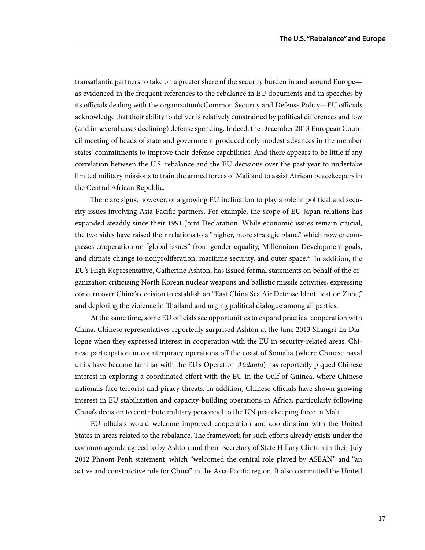transatlantic partners to take on a greater share of the security burden in and around Europe as evidenced in the frequent references to the rebalance in EU documents and in speeches by its officials dealing with the organization's Common Security and Defense Policy—EU officials acknowledge that their ability to deliver is relatively constrained by political differences and low (and in several cases declining) defense spending. Indeed, the December 2013 European Council meeting of heads of state and government produced only modest advances in the member states' commitments to improve their defense capabilities. And there appears to be little if any correlation between the U.S. rebalance and the EU decisions over the past year to undertake limited military missions to train the armed forces of Mali and to assist African peacekeepers in the Central African Republic.

There are signs, however, of a growing EU inclination to play a role in political and security issues involving Asia-Pacific partners. For example, the scope of EU-Japan relations has expanded steadily since their 1991 Joint Declaration. While economic issues remain crucial, the two sides have raised their relations to a "higher, more strategic plane," which now encompasses cooperation on "global issues" from gender equality, Millennium Development goals, and climate change to nonproliferation, maritime security, and outer space.<sup>43</sup> In addition, the EU's High Representative, Catherine Ashton, has issued formal statements on behalf of the organization criticizing North Korean nuclear weapons and ballistic missile activities, expressing concern over China's decision to establish an "East China Sea Air Defense Identification Zone," and deploring the violence in Thailand and urging political dialogue among all parties.

At the same time, some EU officials see opportunities to expand practical cooperation with China. Chinese representatives reportedly surprised Ashton at the June 2013 Shangri-La Dialogue when they expressed interest in cooperation with the EU in security-related areas. Chinese participation in counterpiracy operations off the coast of Somalia (where Chinese naval units have become familiar with the EU's Operation *Atalanta*) has reportedly piqued Chinese interest in exploring a coordinated effort with the EU in the Gulf of Guinea, where Chinese nationals face terrorist and piracy threats. In addition, Chinese officials have shown growing interest in EU stabilization and capacity-building operations in Africa, particularly following China's decision to contribute military personnel to the UN peacekeeping force in Mali.

EU officials would welcome improved cooperation and coordination with the United States in areas related to the rebalance. The framework for such efforts already exists under the common agenda agreed to by Ashton and then–Secretary of State Hillary Clinton in their July 2012 Phnom Penh statement, which "welcomed the central role played by ASEAN" and "an active and constructive role for China" in the Asia-Pacific region. It also committed the United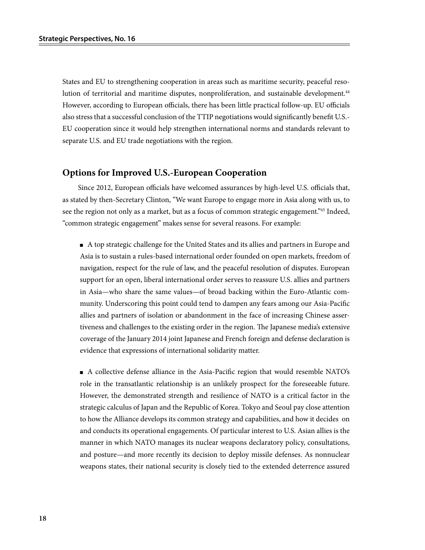States and EU to strengthening cooperation in areas such as maritime security, peaceful resolution of territorial and maritime disputes, nonproliferation, and sustainable development.<sup>44</sup> However, according to European officials, there has been little practical follow-up. EU officials also stress that a successful conclusion of the TTIP negotiations would significantly benefit U.S.- EU cooperation since it would help strengthen international norms and standards relevant to separate U.S. and EU trade negotiations with the region.

#### **Options for Improved U.S.-European Cooperation**

Since 2012, European officials have welcomed assurances by high-level U.S. officials that, as stated by then-Secretary Clinton, "We want Europe to engage more in Asia along with us, to see the region not only as a market, but as a focus of common strategic engagement."45 Indeed, "common strategic engagement" makes sense for several reasons. For example:

■ A top strategic challenge for the United States and its allies and partners in Europe and Asia is to sustain a rules-based international order founded on open markets, freedom of navigation, respect for the rule of law, and the peaceful resolution of disputes. European support for an open, liberal international order serves to reassure U.S. allies and partners in Asia—who share the same values—of broad backing within the Euro-Atlantic community. Underscoring this point could tend to dampen any fears among our Asia-Pacific allies and partners of isolation or abandonment in the face of increasing Chinese assertiveness and challenges to the existing order in the region. The Japanese media's extensive coverage of the January 2014 joint Japanese and French foreign and defense declaration is evidence that expressions of international solidarity matter.

■ A collective defense alliance in the Asia-Pacific region that would resemble NATO's role in the transatlantic relationship is an unlikely prospect for the foreseeable future. However, the demonstrated strength and resilience of NATO is a critical factor in the strategic calculus of Japan and the Republic of Korea. Tokyo and Seoul pay close attention to how the Alliance develops its common strategy and capabilities, and how it decides on and conducts its operational engagements. Of particular interest to U.S. Asian allies is the manner in which NATO manages its nuclear weapons declaratory policy, consultations, and posture—and more recently its decision to deploy missile defenses. As nonnuclear weapons states, their national security is closely tied to the extended deterrence assured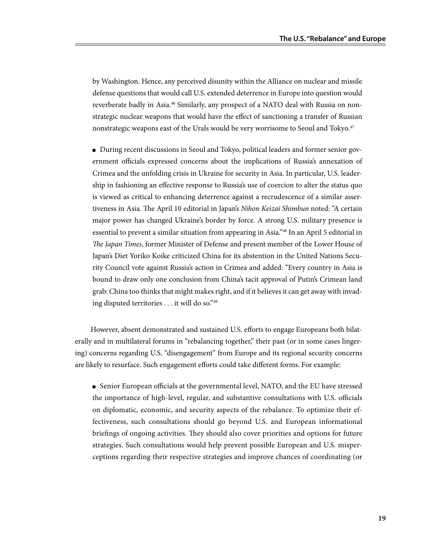by Washington. Hence, any perceived disunity within the Alliance on nuclear and missile defense questions that would call U.S. extended deterrence in Europe into question would reverberate badly in Asia.<sup>46</sup> Similarly, any prospect of a NATO deal with Russia on nonstrategic nuclear weapons that would have the effect of sanctioning a transfer of Russian nonstrategic weapons east of the Urals would be very worrisome to Seoul and Tokyo.47

■ During recent discussions in Seoul and Tokyo, political leaders and former senior government officials expressed concerns about the implications of Russia's annexation of Crimea and the unfolding crisis in Ukraine for security in Asia. In particular, U.S. leadership in fashioning an effective response to Russia's use of coercion to alter the status quo is viewed as critical to enhancing deterrence against a recrudescence of a similar assertiveness in Asia. The April 10 editorial in Japan's *Nihon Keizai Shimbun* noted: "A certain major power has changed Ukraine's border by force. A strong U.S. military presence is essential to prevent a similar situation from appearing in Asia."48 In an April 5 editorial in *The Japan Times*, former Minister of Defense and present member of the Lower House of Japan's Diet Yoriko Koike criticized China for its abstention in the United Nations Security Council vote against Russia's action in Crimea and added: "Every country in Asia is bound to draw only one conclusion from China's tacit approval of Putin's Crimean land grab: China too thinks that might makes right, and if it believes it can get away with invading disputed territories . . . it will do so."49

However, absent demonstrated and sustained U.S. efforts to engage Europeans both bilaterally and in multilateral forums in "rebalancing together," their past (or in some cases lingering) concerns regarding U.S. "disengagement" from Europe and its regional security concerns are likely to resurface. Such engagement efforts could take different forms. For example:

■ Senior European officials at the governmental level, NATO, and the EU have stressed the importance of high-level, regular, and substantive consultations with U.S. officials on diplomatic, economic, and security aspects of the rebalance. To optimize their effectiveness, such consultations should go beyond U.S. and European informational briefings of ongoing activities. They should also cover priorities and options for future strategies. Such consultations would help prevent possible European and U.S. misperceptions regarding their respective strategies and improve chances of coordinating (or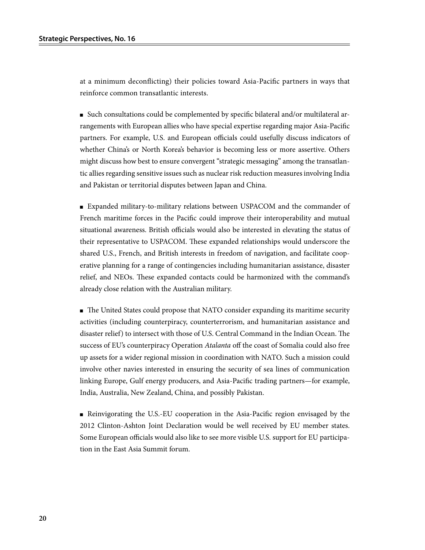at a minimum deconflicting) their policies toward Asia-Pacific partners in ways that reinforce common transatlantic interests.

■ Such consultations could be complemented by specific bilateral and/or multilateral arrangements with European allies who have special expertise regarding major Asia-Pacific partners. For example, U.S. and European officials could usefully discuss indicators of whether China's or North Korea's behavior is becoming less or more assertive. Others might discuss how best to ensure convergent "strategic messaging" among the transatlantic allies regarding sensitive issues such as nuclear risk reduction measures involving India and Pakistan or territorial disputes between Japan and China.

■ Expanded military-to-military relations between USPACOM and the commander of French maritime forces in the Pacific could improve their interoperability and mutual situational awareness. British officials would also be interested in elevating the status of their representative to USPACOM. These expanded relationships would underscore the shared U.S., French, and British interests in freedom of navigation, and facilitate cooperative planning for a range of contingencies including humanitarian assistance, disaster relief, and NEOs. These expanded contacts could be harmonized with the command's already close relation with the Australian military.

■ The United States could propose that NATO consider expanding its maritime security activities (including counterpiracy, counterterrorism, and humanitarian assistance and disaster relief) to intersect with those of U.S. Central Command in the Indian Ocean. The success of EU's counterpiracy Operation *Atalanta* off the coast of Somalia could also free up assets for a wider regional mission in coordination with NATO. Such a mission could involve other navies interested in ensuring the security of sea lines of communication linking Europe, Gulf energy producers, and Asia-Pacific trading partners—for example, India, Australia, New Zealand, China, and possibly Pakistan.

■ Reinvigorating the U.S.-EU cooperation in the Asia-Pacific region envisaged by the 2012 Clinton-Ashton Joint Declaration would be well received by EU member states. Some European officials would also like to see more visible U.S. support for EU participation in the East Asia Summit forum.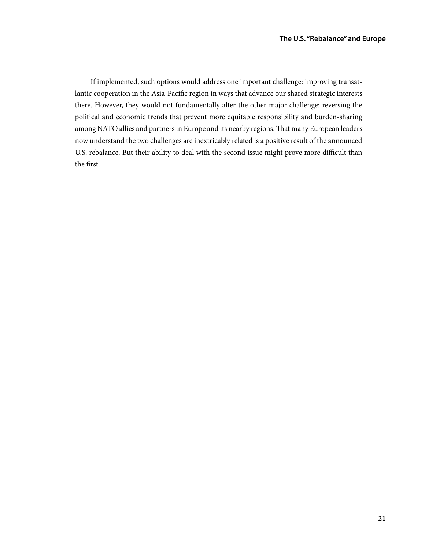If implemented, such options would address one important challenge: improving transatlantic cooperation in the Asia-Pacific region in ways that advance our shared strategic interests there. However, they would not fundamentally alter the other major challenge: reversing the political and economic trends that prevent more equitable responsibility and burden-sharing among NATO allies and partners in Europe and its nearby regions. That many European leaders now understand the two challenges are inextricably related is a positive result of the announced U.S. rebalance. But their ability to deal with the second issue might prove more difficult than the first.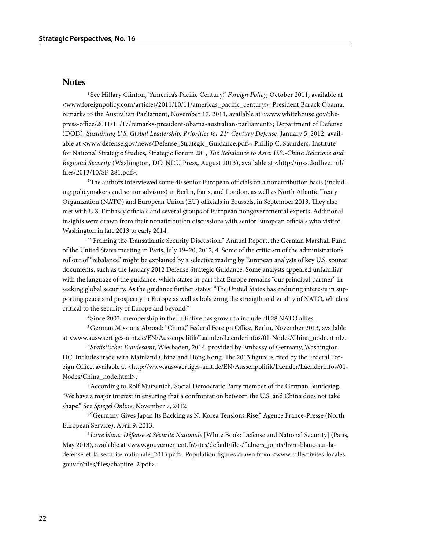#### **Notes**

<sup>1</sup> See Hillary Clinton, "America's Pacific Century," *Foreign Policy*, October 2011, available at <www.foreignpolicy.com/articles/2011/10/11/americas\_pacific\_century>; President Barack Obama, remarks to the Australian Parliament, November 17, 2011, available at <www.whitehouse.gov/thepress-office/2011/11/17/remarks-president-obama-australian-parliament>; Department of Defense (DOD), *Sustaining U.S. Global Leadership: Priorities for 21st Century Defense*, January 5, 2012, available at <www.defense.gov/news/Defense\_Strategic\_Guidance.pdf>; Phillip C. Saunders, Institute for National Strategic Studies, Strategic Forum 281, *The Rebalance to Asia: U.S.-China Relations and Regional Security* (Washington, DC: NDU Press, August 2013), available at <http://inss.dodlive.mil/ files/2013/10/SF-281.pdf>.

2 The authors interviewed some 40 senior European officials on a nonattribution basis (including policymakers and senior advisors) in Berlin, Paris, and London, as well as North Atlantic Treaty Organization (NATO) and European Union (EU) officials in Brussels, in September 2013. They also met with U.S. Embassy officials and several groups of European nongovernmental experts. Additional insights were drawn from their nonattribution discussions with senior European officials who visited Washington in late 2013 to early 2014.

<sup>3</sup> "Framing the Transatlantic Security Discussion," Annual Report, the German Marshall Fund of the United States meeting in Paris, July 19–20, 2012, 4. Some of the criticism of the administration's rollout of "rebalance" might be explained by a selective reading by European analysts of key U.S. source documents, such as the January 2012 Defense Strategic Guidance. Some analysts appeared unfamiliar with the language of the guidance, which states in part that Europe remains "our principal partner" in seeking global security. As the guidance further states: "The United States has enduring interests in supporting peace and prosperity in Europe as well as bolstering the strength and vitality of NATO, which is critical to the security of Europe and beyond."

<sup>4</sup> Since 2003, membership in the initiative has grown to include all 28 NATO allies.

5 German Missions Abroad: "China," Federal Foreign Office, Berlin, November 2013, available at <www.auswaertiges-amt.de/EN/Aussenpolitik/Laender/Laenderinfos/01-Nodes/China\_node.html>.

<sup>6</sup>*Statistisches Bundesamt*, Wiesbaden, 2014, provided by Embassy of Germany, Washington, DC. Includes trade with Mainland China and Hong Kong. The 2013 figure is cited by the Federal Foreign Office, available at <http://www.auswaertiges-amt.de/EN/Aussenpolitik/Laender/Laenderinfos/01-Nodes/China\_node.html>.

7 According to Rolf Mutzenich, Social Democratic Party member of the German Bundestag, "We have a major interest in ensuring that a confrontation between the U.S. and China does not take shape." See *Spiegel Online*, November 7, 2012.

8 "Germany Gives Japan Its Backing as N. Korea Tensions Rise," Agence France-Presse (North European Service), April 9, 2013.

<sup>9</sup>*Livre blanc: Défense et Sécurité Nationale* [White Book: Defense and National Security] (Paris, May 2013), available at <www.gouvernement.fr/sites/default/files/fichiers\_joints/livre-blanc-sur-ladefense-et-la-securite-nationale\_2013.pdf>. Population figures drawn from <www.collectivites-locales. gouv.fr/files/files/chapitre\_2.pdf>.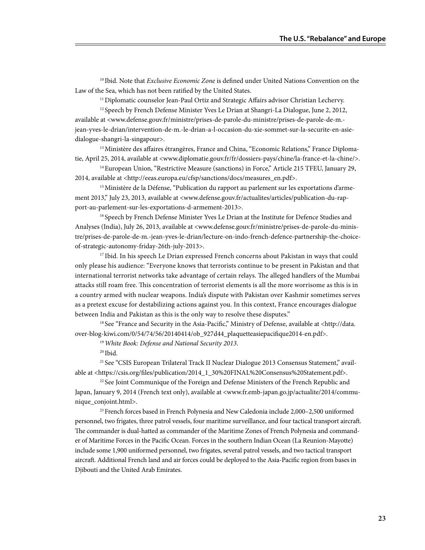10 Ibid. Note that *Exclusive Economic Zone* is defined under United Nations Convention on the Law of the Sea, which has not been ratified by the United States.

11 Diplomatic counselor Jean-Paul Ortiz and Strategic Affairs advisor Christian Lechervy.

<sup>12</sup> Speech by French Defense Minister Yves Le Drian at Shangri-La Dialogue, June 2, 2012, available at <www.defense.gouv.fr/ministre/prises-de-parole-du-ministre/prises-de-parole-de-m. jean-yves-le-drian/intervention-de-m.-le-drian-a-l-occasion-du-xie-sommet-sur-la-securite-en-asiedialogue-shangri-la-singapour>.

<sup>13</sup> Ministère des affaires étrangères, France and China, "Economic Relations," France Diplomatie, April 25, 2014, available at <www.diplomatie.gouv.fr/fr/dossiers-pays/chine/la-france-et-la-chine/>.

<sup>14</sup> European Union, "Restrictive Measure (sanctions) in Force," Article 215 TFEU, January 29, 2014, available at <http://eeas.europa.eu/cfsp/sanctions/docs/measures\_en.pdf>.

<sup>15</sup> Ministère de la Défense, "Publication du rapport au parlement sur les exportations d'armement 2013," July 23, 2013, available at <www.defense.gouv.fr/actualites/articles/publication-du-rapport-au-parlement-sur-les-exportations-d-armement-2013>.

<sup>16</sup> Speech by French Defense Minister Yves Le Drian at the Institute for Defence Studies and Analyses (India), July 26, 2013, available at <www.defense.gouv.fr/ministre/prises-de-parole-du-ministre/prises-de-parole-de-m.-jean-yves-le-drian/lecture-on-indo-french-defence-partnership-the-choiceof-strategic-autonomy-friday-26th-july-2013>.

<sup>17</sup> Ibid. In his speech Le Drian expressed French concerns about Pakistan in ways that could only please his audience: "Everyone knows that terrorists continue to be present in Pakistan and that international terrorist networks take advantage of certain relays. The alleged handlers of the Mumbai attacks still roam free. This concentration of terrorist elements is all the more worrisome as this is in a country armed with nuclear weapons. India's dispute with Pakistan over Kashmir sometimes serves as a pretext excuse for destabilizing actions against you. In this context, France encourages dialogue between India and Pakistan as this is the only way to resolve these disputes."

<sup>18</sup> See "France and Security in the Asia-Pacific," Ministry of Defense, available at <http://data. over-blog-kiwi.com/0/54/74/56/20140414/ob\_927d44\_plaquetteasiepacifique2014-en.pdf>.

<sup>19</sup>*White Book: Defense and National Security 2013*.

 $20$  Ibid.

21 See "CSIS European Trilateral Track II Nuclear Dialogue 2013 Consensus Statement," available at <https://csis.org/files/publication/2014\_1\_30%20FINAL%20Consensus%20Statement.pdf>.

<sup>22</sup> See Joint Communique of the Foreign and Defense Ministers of the French Republic and Japan, January 9, 2014 (French text only), available at <www.fr.emb-japan.go.jp/actualite/2014/communique\_conjoint.html>.

23 French forces based in French Polynesia and New Caledonia include 2,000–2,500 uniformed personnel, two frigates, three patrol vessels, four maritime surveillance, and four tactical transport aircraft. The commander is dual-hatted as commander of the Maritime Zones of French Polynesia and commander of Maritime Forces in the Pacific Ocean. Forces in the southern Indian Ocean (La Reunion-Mayotte) include some 1,900 uniformed personnel, two frigates, several patrol vessels, and two tactical transport aircraft. Additional French land and air forces could be deployed to the Asia-Pacific region from bases in Djibouti and the United Arab Emirates.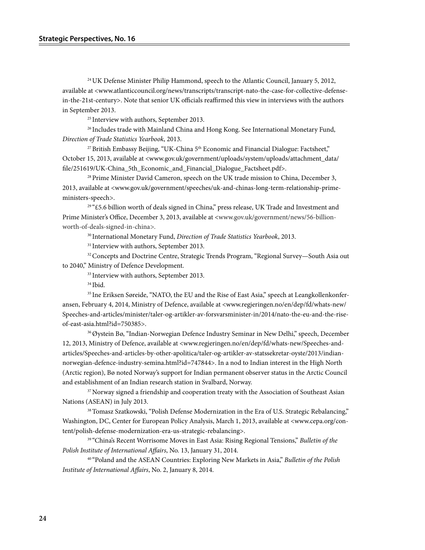24 UK Defense Minister Philip Hammond, speech to the Atlantic Council, January 5, 2012, available at <www.atlanticcouncil.org/news/transcripts/transcript-nato-the-case-for-collective-defensein-the-21st-century>. Note that senior UK officials reaffirmed this view in interviews with the authors in September 2013.

<sup>25</sup> Interview with authors, September 2013.

<sup>26</sup> Includes trade with Mainland China and Hong Kong. See International Monetary Fund, *Direction of Trade Statistics Yearbook*, 2013.

<sup>27</sup> British Embassy Beijing, "UK-China 5<sup>th</sup> Economic and Financial Dialogue: Factsheet," October 15, 2013, available at <www.gov.uk/government/uploads/system/uploads/attachment\_data/ file/251619/UK-China\_5th\_Economic\_and\_Financial\_Dialogue\_Factsheet.pdf>.

28 Prime Minister David Cameron, speech on the UK trade mission to China, December 3, 2013, available at <www.gov.uk/government/speeches/uk-and-chinas-long-term-relationship-primeministers-speech>.

29 "£5.6 billion worth of deals signed in China," press release, UK Trade and Investment and Prime Minister's Office, December 3, 2013, available at <www.gov.uk/government/news/56-billionworth-of-deals-signed-in-china*>.*

30 International Monetary Fund, *Direction of Trade Statistics Yearbook*, 2013.

<sup>31</sup> Interview with authors, September 2013.

32 Concepts and Doctrine Centre, Strategic Trends Program, "Regional Survey—South Asia out to 2040," Ministry of Defence Development.

<sup>33</sup> Interview with authors, September 2013.

34 Ibid.

<sup>35</sup> Ine Eriksen Søreide, "NATO, the EU and the Rise of East Asia," speech at Leangkollenkonferansen, February 4, 2014, Ministry of Defence, available at <www.regjeringen.no/en/dep/fd/whats-new/ Speeches-and-articles/minister/taler-og-artikler-av-forsvarsminister-in/2014/nato-the-eu-and-the-riseof-east-asia.html?id=750385>.

36 Øystein Bø, "Indian-Norwegian Defence Industry Seminar in New Delhi," speech, December 12, 2013, Ministry of Defence, available at <www.regjeringen.no/en/dep/fd/whats-new/Speeches-andarticles/Speeches-and-articles-by-other-apolitica/taler-og-artikler-av-statssekretar-oyste/2013/indiannorwegian-defence-industry-semina.html?id=747844>. In a nod to Indian interest in the High North (Arctic region), Bø noted Norway's support for Indian permanent observer status in the Arctic Council and establishment of an Indian research station in Svalbard, Norway.

<sup>37</sup> Norway signed a friendship and cooperation treaty with the Association of Southeast Asian Nations (ASEAN) in July 2013.

38 Tomasz Szatkowski, "Polish Defense Modernization in the Era of U.S. Strategic Rebalancing," Washington, DC, Center for European Policy Analysis, March 1, 2013, available at <www.cepa.org/content/polish-defense-modernization-era-us-strategic-rebalancing>.

39 "China's Recent Worrisome Moves in East Asia: Rising Regional Tensions," *Bulletin of the Polish Institute of International Affairs*, No. 13, January 31, 2014.

40 "Poland and the ASEAN Countries: Exploring New Markets in Asia," *Bulletin of the Polish Institute of International Affairs*, No. 2, January 8, 2014.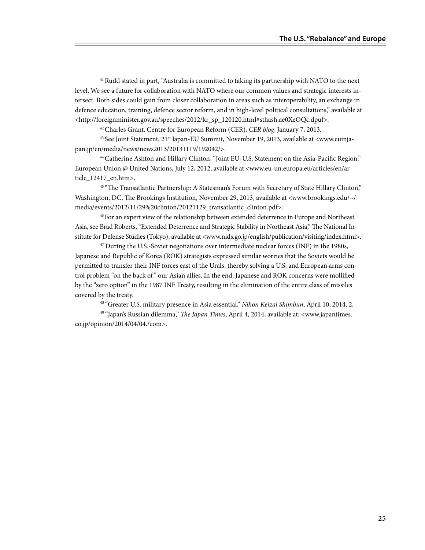41 Rudd stated in part, "Australia is committed to taking its partnership with NATO to the next level. We see a future for collaboration with NATO where our common values and strategic interests intersect. Both sides could gain from closer collaboration in areas such as interoperability, an exchange in defence education, training, defence sector reform, and in high-level political consultations," available at <http://foreignminister.gov.au/speeches/2012/kr\_sp\_120120.html#sthash.ae0XeOQc.dpuf>.

42 Charles Grant, Centre for European Reform (CER), *CER blog*, January 7, 2013.

<sup>43</sup> See Joint Statement, 21<sup>st</sup> Japan-EU Summit, November 19, 2013, available at <www.euinjapan.jp/en/media/news/news2013/20131119/192042/>.

44 Catherine Ashton and Hillary Clinton, "Joint EU-U.S. Statement on the Asia-Pacific Region," European Union @ United Nations, July 12, 2012, available at <www.eu-un.europa.eu/articles/en/article\_12417\_en.htm>.

<sup>45 "</sup>The Transatlantic Partnership: A Statesman's Forum with Secretary of State Hillary Clinton," Washington, DC, The Brookings Institution, November 29, 2013, available at <www.brookings.edu/~/ media/events/2012/11/29%20clinton/20121129\_transatlantic\_clinton.pdf>.

46 For an expert view of the relationship between extended deterrence in Europe and Northeast Asia, see Brad Roberts, "Extended Deterrence and Strategic Stability in Northeast Asia," The National Institute for Defense Studies (Tokyo), available at <www.nids.go.jp/english/publication/visiting/index.html>.

 $47$  During the U.S.-Soviet negotiations over intermediate nuclear forces (INF) in the 1980s, Japanese and Republic of Korea (ROK) strategists expressed similar worries that the Soviets would be permitted to transfer their INF forces east of the Urals, thereby solving a U.S. and European arms control problem "on the back of " our Asian allies. In the end, Japanese and ROK concerns were mollified by the "zero option" in the 1987 INF Treaty, resulting in the elimination of the entire class of missiles covered by the treaty.

48 "Greater U.S. military presence in Asia essential," *Nihon Keizai Shimbun*, April 10, 2014, 2.

49 "Japan's Russian dilemma," *The Japan Times*, April 4, 2014, available at: <www.japantimes. co.jp/opinion/2014/04/04./com>.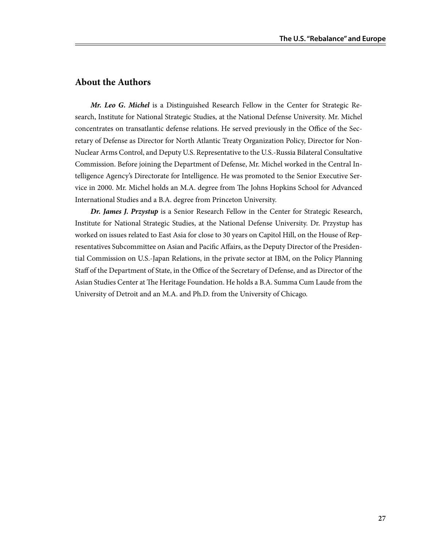# **About the Authors**

*Mr. Leo G. Michel* is a Distinguished Research Fellow in the Center for Strategic Research, Institute for National Strategic Studies, at the National Defense University. Mr. Michel concentrates on transatlantic defense relations. He served previously in the Office of the Secretary of Defense as Director for North Atlantic Treaty Organization Policy, Director for Non-Nuclear Arms Control, and Deputy U.S. Representative to the U.S.-Russia Bilateral Consultative Commission. Before joining the Department of Defense, Mr. Michel worked in the Central Intelligence Agency's Directorate for Intelligence. He was promoted to the Senior Executive Service in 2000. Mr. Michel holds an M.A. degree from The Johns Hopkins School for Advanced International Studies and a B.A. degree from Princeton University.

*Dr. James J. Przystup* is a Senior Research Fellow in the Center for Strategic Research, Institute for National Strategic Studies, at the National Defense University. Dr. Przystup has worked on issues related to East Asia for close to 30 years on Capitol Hill, on the House of Representatives Subcommittee on Asian and Pacific Affairs, as the Deputy Director of the Presidential Commission on U.S.-Japan Relations, in the private sector at IBM, on the Policy Planning Staff of the Department of State, in the Office of the Secretary of Defense, and as Director of the Asian Studies Center at The Heritage Foundation. He holds a B.A. Summa Cum Laude from the University of Detroit and an M.A. and Ph.D. from the University of Chicago.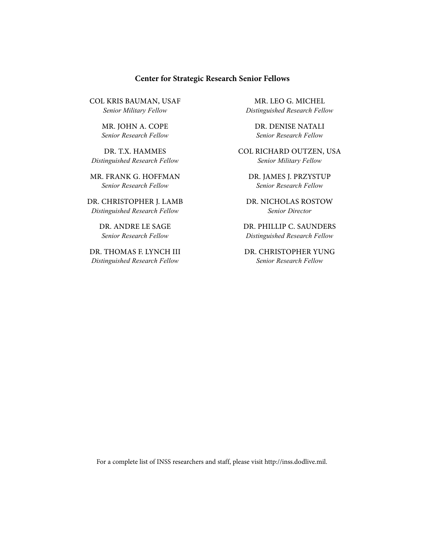#### **Center for Strategic Research Senior Fellows**

Col kris bauman, USAF *Senior Military Fellow*

> Mr. John A. Cope *Senior Research Fellow*

Dr. T.X. Hammes *Distinguished Research Fellow*

Mr. Frank G. Hoffman *Senior Research Fellow*

Dr. Christopher J. Lamb *Distinguished Research Fellow*

> Dr. Andre Le Sage *Senior Research Fellow*

Dr. Thomas F. Lynch III *Distinguished Research Fellow*

Mr. Leo G. Michel *Distinguished Research Fellow*

> Dr. denise natali *Senior Research Fellow*

COL richard outzen, usa *Senior Military Fellow*

Dr. James J. Przystup *Senior Research Fellow*

Dr. Nicholas Rostow *Senior Director*

Dr. Phillip C. Saunders *Distinguished Research Fellow*

Dr. Christopher Yung *Senior Research Fellow*

For a complete list of INSS researchers and staff, please visit http://inss.dodlive.mil.